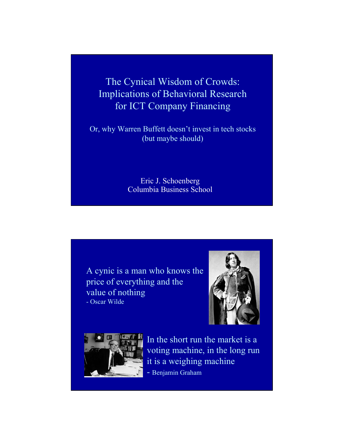The Cynical Wisdom of Crowds: Implications of Behavioral Research for ICT Company Financing

Or, why Warren Buffett doesn't invest in tech stocks (but maybe should)

> Eric J. Schoenberg Columbia Business School

A cynic is a man who knows the price of everything and the value of nothing - Oscar Wilde





In the short run the market is a voting machine, in the long run it is a weighing machine - Benjamin Graham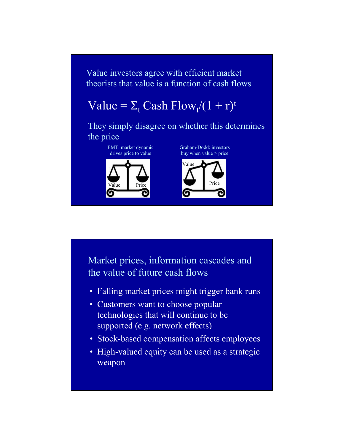Value investors agree with efficient market theorists that value is a function of cash flows

## Value =  $\Sigma_t$  Cash Flow<sub>t</sub> $/(1 + r)^t$

They simply disagree on whether this determines the price

> EMT: market dynamic drives price to value



Graham-Dodd: investors buy when value  $>$  price



Market prices, information cascades and the value of future cash flows

- Falling market prices might trigger bank runs
- Customers want to choose popular technologies that will continue to be supported (e.g. network effects)
- Stock-based compensation affects employees
- High-valued equity can be used as a strategic weapon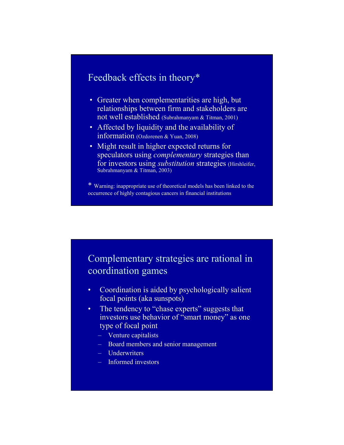## Feedback effects in theory\*

- Greater when complementarities are high, but relationships between firm and stakeholders are not well established (Subrahmanyam & Titman, 2001)
- Affected by liquidity and the availability of information (Ozdorenen & Yuan, 2008)
- Might result in higher expected returns for speculators using *complementary* strategies than for investors using *substitution* strategies (Hirshleifer, Subrahmanyam & Titman, 2003)

\* Warning: inappropriate use of theoretical models has been linked to the occurrence of highly contagious cancers in financial institutions

## Complementary strategies are rational in coordination games

- Coordination is aided by psychologically salient focal points (aka sunspots)
- The tendency to "chase experts" suggests that investors use behavior of "smart money" as one type of focal point
	- Venture capitalists
	- Board members and senior management
	- Underwriters
	- Informed investors